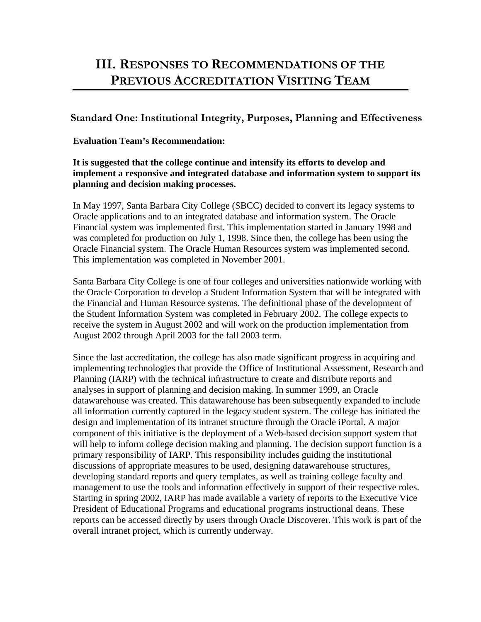# **III. RESPONSES TO RECOMMENDATIONS OF THE PREVIOUS ACCREDITATION VISITING TEAM**

# **Standard One: Institutional Integrity, Purposes, Planning and Effectiveness**

#### **Evaluation Team's Recommendation:**

#### **It is suggested that the college continue and intensify its efforts to develop and implement a responsive and integrated database and information system to support its planning and decision making processes.**

In May 1997, Santa Barbara City College (SBCC) decided to convert its legacy systems to Oracle applications and to an integrated database and information system. The Oracle Financial system was implemented first. This implementation started in January 1998 and was completed for production on July 1, 1998. Since then, the college has been using the Oracle Financial system. The Oracle Human Resources system was implemented second. This implementation was completed in November 2001.

Santa Barbara City College is one of four colleges and universities nationwide working with the Oracle Corporation to develop a Student Information System that will be integrated with the Financial and Human Resource systems. The definitional phase of the development of the Student Information System was completed in February 2002. The college expects to receive the system in August 2002 and will work on the production implementation from August 2002 through April 2003 for the fall 2003 term.

Since the last accreditation, the college has also made significant progress in acquiring and implementing technologies that provide the Office of Institutional Assessment, Research and Planning (IARP) with the technical infrastructure to create and distribute reports and analyses in support of planning and decision making. In summer 1999, an Oracle datawarehouse was created. This datawarehouse has been subsequently expanded to include all information currently captured in the legacy student system. The college has initiated the design and implementation of its intranet structure through the Oracle iPortal. A major component of this initiative is the deployment of a Web-based decision support system that will help to inform college decision making and planning. The decision support function is a primary responsibility of IARP. This responsibility includes guiding the institutional discussions of appropriate measures to be used, designing datawarehouse structures, developing standard reports and query templates, as well as training college faculty and management to use the tools and information effectively in support of their respective roles. Starting in spring 2002, IARP has made available a variety of reports to the Executive Vice President of Educational Programs and educational programs instructional deans. These reports can be accessed directly by users through Oracle Discoverer. This work is part of the overall intranet project, which is currently underway.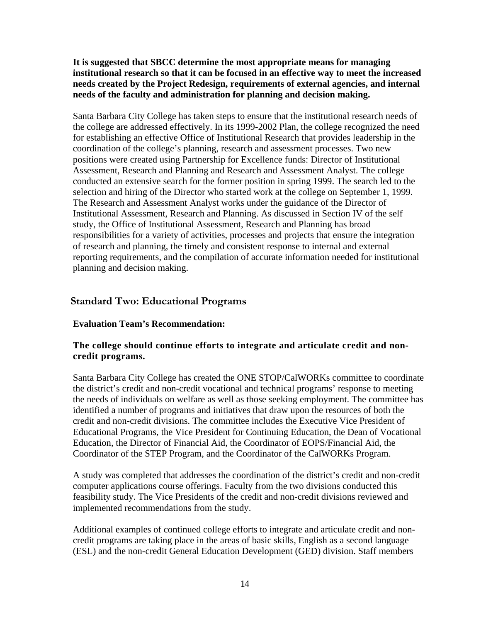**It is suggested that SBCC determine the most appropriate means for managing institutional research so that it can be focused in an effective way to meet the increased needs created by the Project Redesign, requirements of external agencies, and internal needs of the faculty and administration for planning and decision making.**

Santa Barbara City College has taken steps to ensure that the institutional research needs of the college are addressed effectively. In its 1999-2002 Plan, the college recognized the need for establishing an effective Office of Institutional Research that provides leadership in the coordination of the college's planning, research and assessment processes. Two new positions were created using Partnership for Excellence funds: Director of Institutional Assessment, Research and Planning and Research and Assessment Analyst. The college conducted an extensive search for the former position in spring 1999. The search led to the selection and hiring of the Director who started work at the college on September 1, 1999. The Research and Assessment Analyst works under the guidance of the Director of Institutional Assessment, Research and Planning. As discussed in Section IV of the self study, the Office of Institutional Assessment, Research and Planning has broad responsibilities for a variety of activities, processes and projects that ensure the integration of research and planning, the timely and consistent response to internal and external reporting requirements, and the compilation of accurate information needed for institutional planning and decision making.

# **Standard Two: Educational Programs**

#### **Evaluation Team's Recommendation:**

#### **The college should continue efforts to integrate and articulate credit and noncredit programs.**

Santa Barbara City College has created the ONE STOP/CalWORKs committee to coordinate the district's credit and non-credit vocational and technical programs' response to meeting the needs of individuals on welfare as well as those seeking employment. The committee has identified a number of programs and initiatives that draw upon the resources of both the credit and non-credit divisions. The committee includes the Executive Vice President of Educational Programs, the Vice President for Continuing Education, the Dean of Vocational Education, the Director of Financial Aid, the Coordinator of EOPS/Financial Aid, the Coordinator of the STEP Program, and the Coordinator of the CalWORKs Program.

A study was completed that addresses the coordination of the district's credit and non-credit computer applications course offerings. Faculty from the two divisions conducted this feasibility study. The Vice Presidents of the credit and non-credit divisions reviewed and implemented recommendations from the study.

Additional examples of continued college efforts to integrate and articulate credit and noncredit programs are taking place in the areas of basic skills, English as a second language (ESL) and the non-credit General Education Development (GED) division. Staff members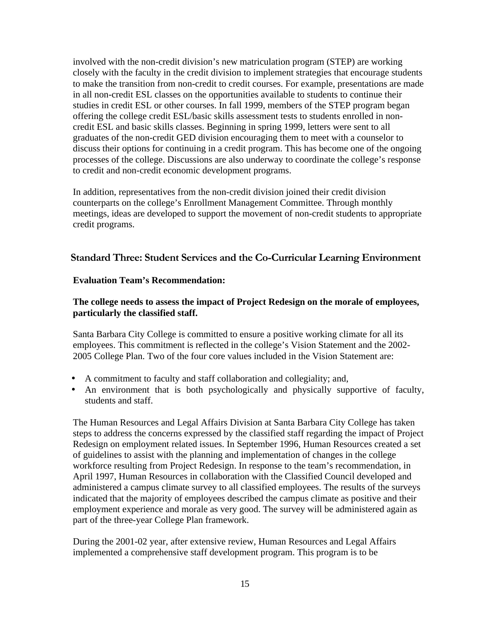involved with the non-credit division's new matriculation program (STEP) are working closely with the faculty in the credit division to implement strategies that encourage students to make the transition from non-credit to credit courses. For example, presentations are made in all non-credit ESL classes on the opportunities available to students to continue their studies in credit ESL or other courses. In fall 1999, members of the STEP program began offering the college credit ESL/basic skills assessment tests to students enrolled in noncredit ESL and basic skills classes. Beginning in spring 1999, letters were sent to all graduates of the non-credit GED division encouraging them to meet with a counselor to discuss their options for continuing in a credit program. This has become one of the ongoing processes of the college. Discussions are also underway to coordinate the college's response to credit and non-credit economic development programs.

In addition, representatives from the non-credit division joined their credit division counterparts on the college's Enrollment Management Committee. Through monthly meetings, ideas are developed to support the movement of non-credit students to appropriate credit programs.

#### **Standard Three: Student Services and the Co-Curricular Learning Environment**

#### **Evaluation Team's Recommendation:**

#### **The college needs to assess the impact of Project Redesign on the morale of employees, particularly the classified staff.**

Santa Barbara City College is committed to ensure a positive working climate for all its employees. This commitment is reflected in the college's Vision Statement and the 2002- 2005 College Plan. Two of the four core values included in the Vision Statement are:

- A commitment to faculty and staff collaboration and collegiality; and,
- An environment that is both psychologically and physically supportive of faculty, students and staff.

The Human Resources and Legal Affairs Division at Santa Barbara City College has taken steps to address the concerns expressed by the classified staff regarding the impact of Project Redesign on employment related issues. In September 1996, Human Resources created a set of guidelines to assist with the planning and implementation of changes in the college workforce resulting from Project Redesign. In response to the team's recommendation, in April 1997, Human Resources in collaboration with the Classified Council developed and administered a campus climate survey to all classified employees. The results of the surveys indicated that the majority of employees described the campus climate as positive and their employment experience and morale as very good. The survey will be administered again as part of the three-year College Plan framework.

During the 2001-02 year, after extensive review, Human Resources and Legal Affairs implemented a comprehensive staff development program. This program is to be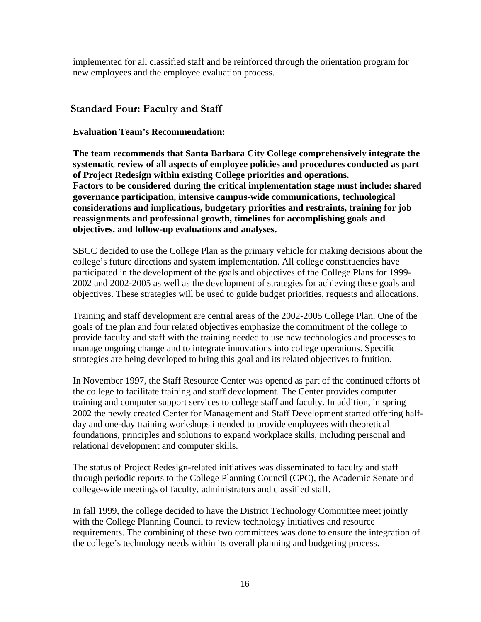implemented for all classified staff and be reinforced through the orientation program for new employees and the employee evaluation process.

# **Standard Four: Faculty and Staff**

#### **Evaluation Team's Recommendation:**

**The team recommends that Santa Barbara City College comprehensively integrate the systematic review of all aspects of employee policies and procedures conducted as part of Project Redesign within existing College priorities and operations. Factors to be considered during the critical implementation stage must include: shared governance participation, intensive campus-wide communications, technological considerations and implications, budgetary priorities and restraints, training for job reassignments and professional growth, timelines for accomplishing goals and objectives, and follow-up evaluations and analyses.**

SBCC decided to use the College Plan as the primary vehicle for making decisions about the college's future directions and system implementation. All college constituencies have participated in the development of the goals and objectives of the College Plans for 1999- 2002 and 2002-2005 as well as the development of strategies for achieving these goals and objectives. These strategies will be used to guide budget priorities, requests and allocations.

Training and staff development are central areas of the 2002-2005 College Plan. One of the goals of the plan and four related objectives emphasize the commitment of the college to provide faculty and staff with the training needed to use new technologies and processes to manage ongoing change and to integrate innovations into college operations. Specific strategies are being developed to bring this goal and its related objectives to fruition.

In November 1997, the Staff Resource Center was opened as part of the continued efforts of the college to facilitate training and staff development. The Center provides computer training and computer support services to college staff and faculty. In addition, in spring 2002 the newly created Center for Management and Staff Development started offering halfday and one-day training workshops intended to provide employees with theoretical foundations, principles and solutions to expand workplace skills, including personal and relational development and computer skills.

The status of Project Redesign-related initiatives was disseminated to faculty and staff through periodic reports to the College Planning Council (CPC), the Academic Senate and college-wide meetings of faculty, administrators and classified staff.

In fall 1999, the college decided to have the District Technology Committee meet jointly with the College Planning Council to review technology initiatives and resource requirements. The combining of these two committees was done to ensure the integration of the college's technology needs within its overall planning and budgeting process.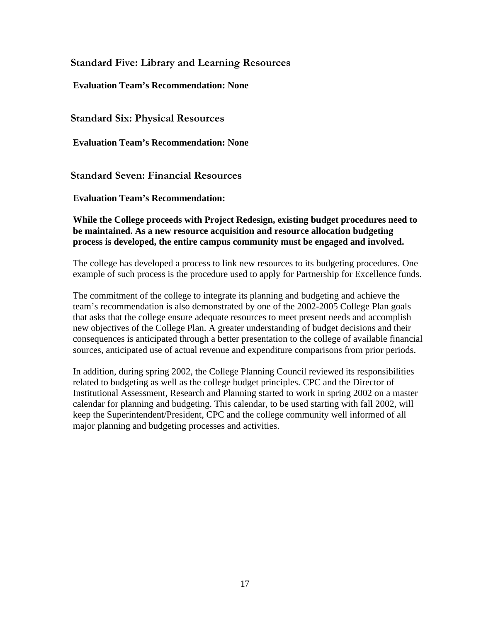**Standard Five: Library and Learning Resources**

**Evaluation Team's Recommendation: None**

**Standard Six: Physical Resources**

**Evaluation Team's Recommendation: None**

**Standard Seven: Financial Resources**

**Evaluation Team's Recommendation:**

**While the College proceeds with Project Redesign, existing budget procedures need to be maintained. As a new resource acquisition and resource allocation budgeting process is developed, the entire campus community must be engaged and involved.**

The college has developed a process to link new resources to its budgeting procedures. One example of such process is the procedure used to apply for Partnership for Excellence funds.

The commitment of the college to integrate its planning and budgeting and achieve the team's recommendation is also demonstrated by one of the 2002-2005 College Plan goals that asks that the college ensure adequate resources to meet present needs and accomplish new objectives of the College Plan. A greater understanding of budget decisions and their consequences is anticipated through a better presentation to the college of available financial sources, anticipated use of actual revenue and expenditure comparisons from prior periods.

In addition, during spring 2002, the College Planning Council reviewed its responsibilities related to budgeting as well as the college budget principles. CPC and the Director of Institutional Assessment, Research and Planning started to work in spring 2002 on a master calendar for planning and budgeting. This calendar, to be used starting with fall 2002, will keep the Superintendent/President, CPC and the college community well informed of all major planning and budgeting processes and activities.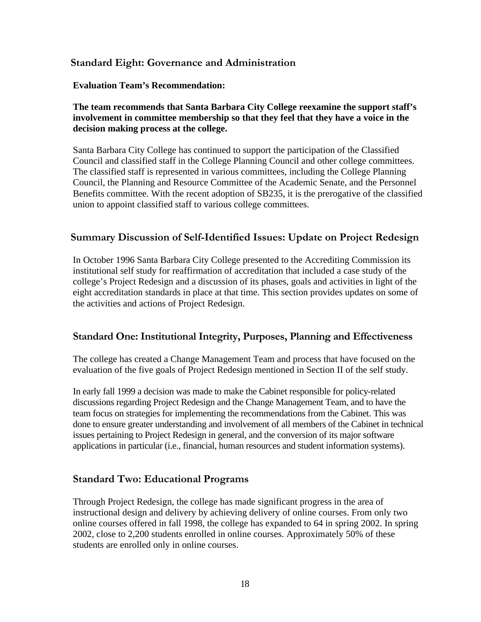# **Standard Eight: Governance and Administration**

#### **Evaluation Team's Recommendation:**

#### **The team recommends that Santa Barbara City College reexamine the support staff's involvement in committee membership so that they feel that they have a voice in the decision making process at the college.**

Santa Barbara City College has continued to support the participation of the Classified Council and classified staff in the College Planning Council and other college committees. The classified staff is represented in various committees, including the College Planning Council, the Planning and Resource Committee of the Academic Senate, and the Personnel Benefits committee. With the recent adoption of SB235, it is the prerogative of the classified union to appoint classified staff to various college committees.

## **Summary Discussion of Self-Identified Issues: Update on Project Redesign**

In October 1996 Santa Barbara City College presented to the Accrediting Commission its institutional self study for reaffirmation of accreditation that included a case study of the college's Project Redesign and a discussion of its phases, goals and activities in light of the eight accreditation standards in place at that time. This section provides updates on some of the activities and actions of Project Redesign.

#### **Standard One: Institutional Integrity, Purposes, Planning and Effectiveness**

The college has created a Change Management Team and process that have focused on the evaluation of the five goals of Project Redesign mentioned in Section II of the self study.

In early fall 1999 a decision was made to make the Cabinet responsible for policy-related discussions regarding Project Redesign and the Change Management Team, and to have the team focus on strategies for implementing the recommendations from the Cabinet. This was done to ensure greater understanding and involvement of all members of the Cabinet in technical issues pertaining to Project Redesign in general, and the conversion of its major software applications in particular (i.e., financial, human resources and student information systems).

#### **Standard Two: Educational Programs**

Through Project Redesign, the college has made significant progress in the area of instructional design and delivery by achieving delivery of online courses. From only two online courses offered in fall 1998, the college has expanded to 64 in spring 2002. In spring 2002, close to 2,200 students enrolled in online courses. Approximately 50% of these students are enrolled only in online courses.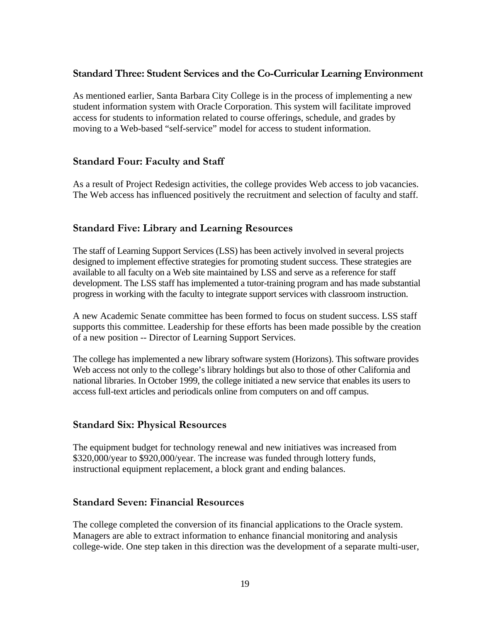# **Standard Three: Student Services and the Co-Curricular Learning Environment**

As mentioned earlier, Santa Barbara City College is in the process of implementing a new student information system with Oracle Corporation. This system will facilitate improved access for students to information related to course offerings, schedule, and grades by moving to a Web-based "self-service" model for access to student information.

## **Standard Four: Faculty and Staff**

As a result of Project Redesign activities, the college provides Web access to job vacancies. The Web access has influenced positively the recruitment and selection of faculty and staff.

# **Standard Five: Library and Learning Resources**

The staff of Learning Support Services (LSS) has been actively involved in several projects designed to implement effective strategies for promoting student success. These strategies are available to all faculty on a Web site maintained by LSS and serve as a reference for staff development. The LSS staff has implemented a tutor-training program and has made substantial progress in working with the faculty to integrate support services with classroom instruction.

A new Academic Senate committee has been formed to focus on student success. LSS staff supports this committee. Leadership for these efforts has been made possible by the creation of a new position -- Director of Learning Support Services.

The college has implemented a new library software system (Horizons). This software provides Web access not only to the college's library holdings but also to those of other California and national libraries. In October 1999, the college initiated a new service that enables its users to access full-text articles and periodicals online from computers on and off campus.

#### **Standard Six: Physical Resources**

The equipment budget for technology renewal and new initiatives was increased from \$320,000/year to \$920,000/year. The increase was funded through lottery funds, instructional equipment replacement, a block grant and ending balances.

# **Standard Seven: Financial Resources**

The college completed the conversion of its financial applications to the Oracle system. Managers are able to extract information to enhance financial monitoring and analysis college-wide. One step taken in this direction was the development of a separate multi-user,